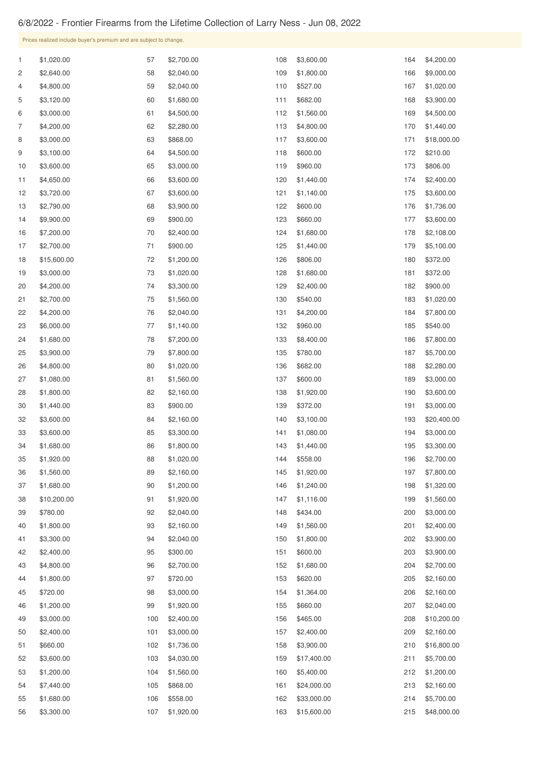## 6/8/2022 - Frontier Firearms from the Lifetime Collection of Larry Ness - Jun 08, 2022

| Prices realized include buyer's premium and are subject to change. |              |                        |          |                        |            |                        |            |                          |  |  |
|--------------------------------------------------------------------|--------------|------------------------|----------|------------------------|------------|------------------------|------------|--------------------------|--|--|
|                                                                    | $\mathbf{1}$ | \$1,020.00             | 57       | \$2,700.00             | 108        | \$3,600.00             | 164        | \$4,200.00               |  |  |
|                                                                    | 2            | \$2,640.00             | 58       | \$2,040.00             | 109        | \$1,800.00             | 166        | \$9,000.00               |  |  |
|                                                                    | 4            | \$4,800.00             | 59       | \$2,040.00             | 110        | \$527.00               | 167        | \$1,020.00               |  |  |
|                                                                    | 5            | \$3,120.00             | 60       | \$1,680.00             | 111        | \$682.00               | 168        | \$3,900.00               |  |  |
|                                                                    | 6            | \$3,000.00             | 61       | \$4,500.00             | 112        | \$1,560.00             | 169        | \$4,500.00               |  |  |
|                                                                    | 7            | \$4,200.00             | 62       | \$2,280.00             | 113        | \$4,800.00             | 170        | \$1,440.00               |  |  |
|                                                                    | 8            | \$3,000.00             | 63       | \$868.00               | 117        | \$3,600.00             | 171        | \$18,000.00              |  |  |
|                                                                    | 9            | \$3,100.00             | 64       | \$4,500.00             | 118        | \$600.00               | 172        | \$210.00                 |  |  |
|                                                                    | 10           | \$3,600.00             | 65       | \$3,000.00             | 119        | \$960.00               | 173        | \$806.00                 |  |  |
|                                                                    | 11           | \$4,650.00             | 66       | \$3,600.00             | 120        | \$1,440.00             | 174        | \$2,400.00               |  |  |
|                                                                    | 12           | \$3,720.00             | 67       | \$3,600.00             | 121        | \$1,140.00             | 175        | \$3,600.00               |  |  |
|                                                                    | 13           | \$2,790.00             | 68       | \$3,900.00             | 122        | \$600.00               | 176        | \$1,736.00               |  |  |
|                                                                    | 14           | \$9,900.00             | 69       | \$900.00               | 123        | \$660.00               | 177        | \$3,600.00               |  |  |
|                                                                    | 16           | \$7,200.00             | 70       | \$2,400.00             | 124        | \$1,680.00             | 178        | \$2,108.00               |  |  |
|                                                                    | 17           | \$2,700.00             | 71       | \$900.00               | 125        | \$1,440.00             | 179        | \$5,100.00               |  |  |
|                                                                    | 18           | \$15,600.00            | 72       | \$1,200.00             | 126        | \$806.00               | 180        | \$372.00                 |  |  |
|                                                                    | 19           | \$3,000.00             | 73       | \$1,020.00             | 128        | \$1,680.00             | 181        | \$372.00                 |  |  |
|                                                                    | 20           | \$4,200.00             | 74       | \$3,300.00             | 129        | \$2,400.00             | 182        | \$900.00                 |  |  |
|                                                                    | 21           | \$2,700.00             | 75       | \$1,560.00             | 130        | \$540.00               | 183        | \$1,020.00               |  |  |
|                                                                    | 22           | \$4,200.00             | 76       | \$2,040.00             | 131        | \$4,200.00             | 184        | \$7,800.00               |  |  |
|                                                                    | 23           | \$6,000.00             | 77       | \$1,140.00             | 132        | \$960.00               | 185        | \$540.00                 |  |  |
|                                                                    | 24           | \$1,680.00             | 78       | \$7,200.00             | 133        | \$8,400.00             | 186        | \$7,800.00               |  |  |
|                                                                    | 25           | \$3,900.00             | 79       | \$7,800.00             | 135        | \$780.00               | 187        | \$5,700.00               |  |  |
|                                                                    | 26           | \$4,800.00             | 80       | \$1,020.00             | 136        | \$682.00               | 188        | \$2,280.00               |  |  |
|                                                                    | 27           | \$1,080.00             | 81       | \$1,560.00             | 137        | \$600.00               | 189        | \$3,000.00               |  |  |
|                                                                    | 28           | \$1,800.00             | 82       | \$2,160.00             | 138        | \$1,920.00             | 190        | \$3,600.00               |  |  |
|                                                                    | 30           | \$1,440.00             | 83       | \$900.00               | 139        | \$372.00               | 191        | \$3,000.00               |  |  |
|                                                                    | 32           | \$3,600.00             | 84       | \$2,160.00             | 140        | \$3,100.00             | 193        | \$20,400.00              |  |  |
|                                                                    | 33           | \$3,600.00             | 85       | \$3,300.00             | 141        | \$1,080.00             | 194        | \$3,000.00               |  |  |
|                                                                    | 34           | \$1,680.00             | 86       | \$1,800.00             | 143        | \$1,440.00             | 195        | \$3,300.00               |  |  |
|                                                                    | 35           | \$1,920.00             | 88       | \$1,020.00             | 144        | \$558.00               | 196        | \$2,700.00               |  |  |
|                                                                    | 36           | \$1,560.00             | 89       | \$2,160.00             | 145        | \$1,920.00             | 197        | \$7,800.00               |  |  |
|                                                                    | 37           | \$1,680.00             | 90       | \$1,200.00             | 146        | \$1,240.00             | 198        | \$1,320.00               |  |  |
|                                                                    | 38           | \$10,200.00            | 91       | \$1,920.00             | 147        | \$1,116.00             | 199        | \$1,560.00               |  |  |
|                                                                    | 39           | \$780.00               | 92       | \$2,040.00             | 148        | \$434.00               | 200        | \$3,000.00               |  |  |
|                                                                    | 40           | \$1,800.00             | 93       | \$2,160.00             | 149        | \$1,560.00             | 201        | \$2,400.00               |  |  |
|                                                                    | 41           | \$3,300.00             | 94       | \$2,040.00             | 150        | \$1,800.00             | 202        | \$3,900.00               |  |  |
|                                                                    | 42           | \$2,400.00             | 95       | \$300.00               | 151        | \$600.00               | 203        | \$3,900.00               |  |  |
|                                                                    | 43           | \$4,800.00             | 96       | \$2,700.00             | 152        | \$1,680.00             | 204        | \$2,700.00               |  |  |
|                                                                    | 44<br>45     | \$1,800.00<br>\$720.00 | 97<br>98 | \$720.00<br>\$3,000.00 | 153<br>154 | \$620.00<br>\$1,364.00 | 205<br>206 | \$2,160.00<br>\$2,160.00 |  |  |
|                                                                    | 46           | \$1,200.00             | 99       | \$1,920.00             | 155        | \$660.00               | 207        | \$2,040.00               |  |  |
|                                                                    | 49           | \$3,000.00             | 100      | \$2,400.00             | 156        | \$465.00               | 208        | \$10,200.00              |  |  |
|                                                                    | 50           | \$2,400.00             | 101      | \$3,000.00             | 157        | \$2,400.00             | 209        | \$2,160.00               |  |  |
|                                                                    | 51           | \$660.00               | 102      | \$1,736.00             | 158        | \$3,900.00             | 210        | \$16,800.00              |  |  |
|                                                                    | 52           | \$3,600.00             | 103      | \$4,030.00             | 159        | \$17,400.00            | 211        | \$5,700.00               |  |  |
|                                                                    | 53           | \$1,200.00             | 104      | \$1,560.00             | 160        | \$5,400.00             | 212        | \$1,200.00               |  |  |
|                                                                    | 54           | \$7,440.00             | 105      | \$868.00               | 161        | \$24,000.00            | 213        | \$2,160.00               |  |  |
|                                                                    | 55           | \$1,680.00             | 106      | \$558.00               | 162        | \$33,000.00            | 214        | \$5,700.00               |  |  |
|                                                                    | 56           | \$3,300.00             | 107      | \$1,920.00             | 163        | \$15,600.00            | 215        | \$48,000.00              |  |  |
|                                                                    |              |                        |          |                        |            |                        |            |                          |  |  |